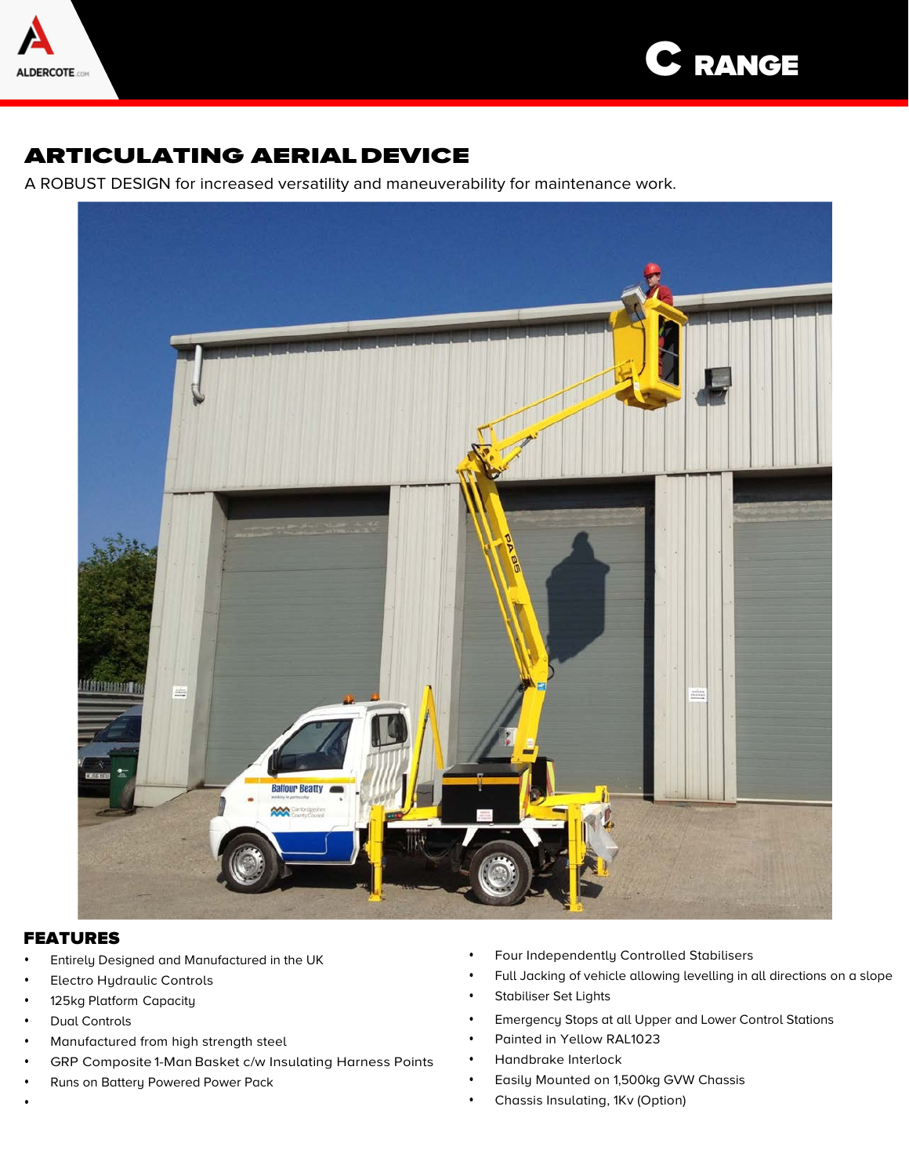



# ARTICULATING AERIALDEVICE

A ROBUST DESIGN for increased versatility and maneuverability for maintenance work.



### FEATURES

- Entirely Designed and Manufactured in the UK
- Electro Hydraulic Controls
- 125kg Platform Capacity
- Dual Controls
- Manufactured from high strength steel
- GRP Composite 1-Man Basket c/w Insulating Harness Points
- Runs on Battery Powered Power Pack
- Four Independently Controlled Stabilisers
- Full Jacking of vehicle allowing levelling in all directions on a slope
- Stabiliser Set Lights
- Emergency Stops at all Upper and Lower Control Stations
- Painted in Yellow RAL1023
- Handbrake Interlock
- Easily Mounted on 1,500kg GVW Chassis
- Chassis Insulating, 1Kv (Option)

•